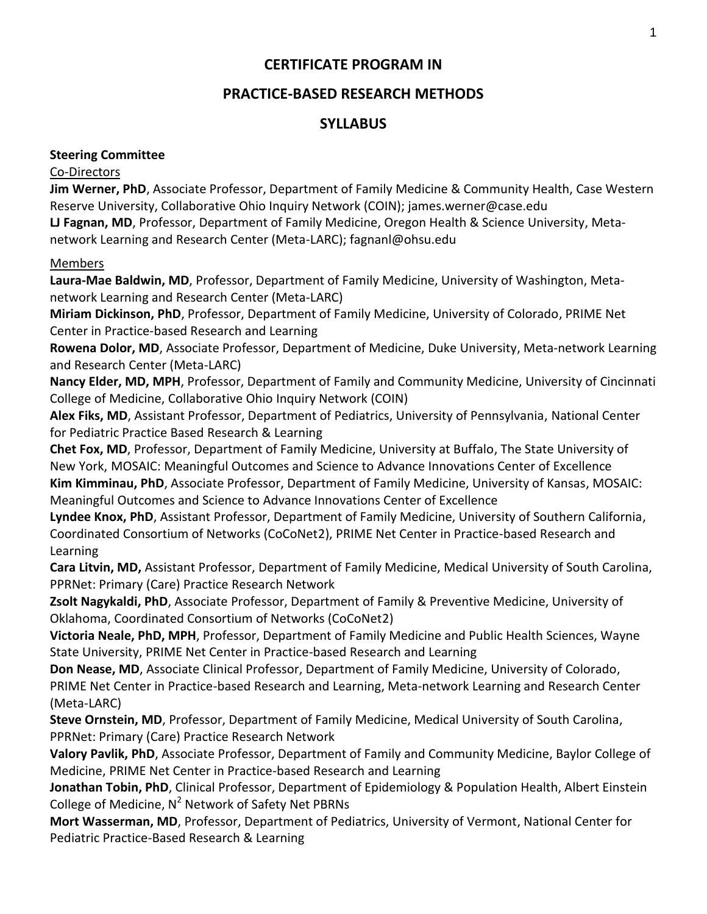# **CERTIFICATE PROGRAM IN**

# **PRACTICE-BASED RESEARCH METHODS**

# **SYLLABUS**

## **Steering Committee**

## Co-Directors

**Jim Werner, PhD**, Associate Professor, Department of Family Medicine & Community Health, Case Western Reserve University, Collaborative Ohio Inquiry Network (COIN); james.werner@case.edu **LJ Fagnan, MD**, Professor, Department of Family Medicine, Oregon Health & Science University, Metanetwork Learning and Research Center (Meta-LARC); fagnanl@ohsu.edu

## Members

**Laura-Mae Baldwin, MD**, Professor, Department of Family Medicine, University of Washington, Metanetwork Learning and Research Center (Meta-LARC)

**Miriam Dickinson, PhD**, Professor, Department of Family Medicine, University of Colorado, PRIME Net Center in Practice-based Research and Learning

**Rowena Dolor, MD**, Associate Professor, Department of Medicine, Duke University, Meta-network Learning and Research Center (Meta-LARC)

**Nancy Elder, MD, MPH**, Professor, Department of Family and Community Medicine, University of Cincinnati College of Medicine, Collaborative Ohio Inquiry Network (COIN)

**Alex Fiks, MD**, Assistant Professor, Department of Pediatrics, University of Pennsylvania, National Center for Pediatric Practice Based Research & Learning

**Chet Fox, MD**, Professor, Department of Family Medicine, University at Buffalo, The State University of New York, MOSAIC: Meaningful Outcomes and Science to Advance Innovations Center of Excellence **Kim Kimminau, PhD**, Associate Professor, Department of Family Medicine, University of Kansas, MOSAIC: Meaningful Outcomes and Science to Advance Innovations Center of Excellence

**Lyndee Knox, PhD**, Assistant Professor, Department of Family Medicine, University of Southern California, Coordinated Consortium of Networks (CoCoNet2), PRIME Net Center in Practice-based Research and Learning

**Cara Litvin, MD,** Assistant Professor, Department of Family Medicine, Medical University of South Carolina, PPRNet: Primary (Care) Practice Research Network

**Zsolt Nagykaldi, PhD**, Associate Professor, Department of Family & Preventive Medicine, University of Oklahoma, Coordinated Consortium of Networks (CoCoNet2)

**Victoria Neale, PhD, MPH**, Professor, Department of Family Medicine and Public Health Sciences, Wayne State University, PRIME Net Center in Practice-based Research and Learning

**Don Nease, MD**, Associate Clinical Professor, Department of Family Medicine, University of Colorado, PRIME Net Center in Practice-based Research and Learning, Meta-network Learning and Research Center (Meta-LARC)

**Steve Ornstein, MD**, Professor, Department of Family Medicine, Medical University of South Carolina, PPRNet: Primary (Care) Practice Research Network

**Valory Pavlik, PhD**, Associate Professor, Department of Family and Community Medicine, Baylor College of Medicine, PRIME Net Center in Practice-based Research and Learning

**Jonathan Tobin, PhD**, Clinical Professor, Department of Epidemiology & Population Health, Albert Einstein College of Medicine, N<sup>2</sup> Network of Safety Net PBRNs

**Mort Wasserman, MD**, Professor, Department of Pediatrics, University of Vermont, National Center for Pediatric Practice-Based Research & Learning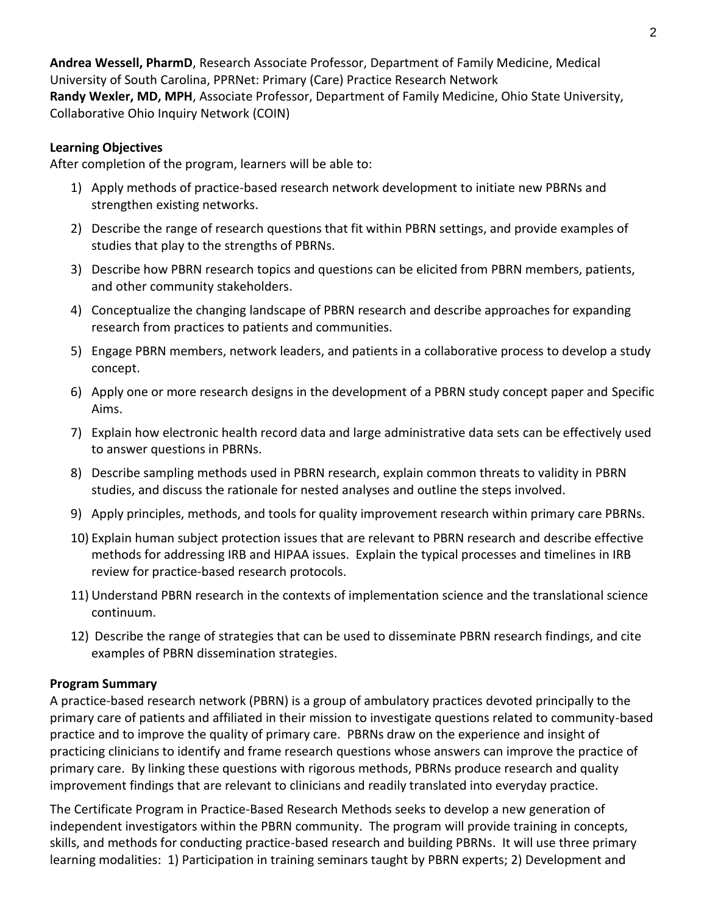**Andrea Wessell, PharmD**, Research Associate Professor, Department of Family Medicine, Medical University of South Carolina, PPRNet: Primary (Care) Practice Research Network **Randy Wexler, MD, MPH**, Associate Professor, Department of Family Medicine, Ohio State University, Collaborative Ohio Inquiry Network (COIN)

#### **Learning Objectives**

After completion of the program, learners will be able to:

- 1) Apply methods of practice-based research network development to initiate new PBRNs and strengthen existing networks.
- 2) Describe the range of research questions that fit within PBRN settings, and provide examples of studies that play to the strengths of PBRNs.
- 3) Describe how PBRN research topics and questions can be elicited from PBRN members, patients, and other community stakeholders.
- 4) Conceptualize the changing landscape of PBRN research and describe approaches for expanding research from practices to patients and communities.
- 5) Engage PBRN members, network leaders, and patients in a collaborative process to develop a study concept.
- 6) Apply one or more research designs in the development of a PBRN study concept paper and Specific Aims.
- 7) Explain how electronic health record data and large administrative data sets can be effectively used to answer questions in PBRNs.
- 8) Describe sampling methods used in PBRN research, explain common threats to validity in PBRN studies, and discuss the rationale for nested analyses and outline the steps involved.
- 9) Apply principles, methods, and tools for quality improvement research within primary care PBRNs.
- 10) Explain human subject protection issues that are relevant to PBRN research and describe effective methods for addressing IRB and HIPAA issues. Explain the typical processes and timelines in IRB review for practice-based research protocols.
- 11) Understand PBRN research in the contexts of implementation science and the translational science continuum.
- 12) Describe the range of strategies that can be used to disseminate PBRN research findings, and cite examples of PBRN dissemination strategies.

#### **Program Summary**

A practice-based research network (PBRN) is a group of ambulatory practices devoted principally to the primary care of patients and affiliated in their mission to investigate questions related to community-based practice and to improve the quality of primary care. PBRNs draw on the experience and insight of practicing clinicians to identify and frame research questions whose answers can improve the practice of primary care. By linking these questions with rigorous methods, PBRNs produce research and quality improvement findings that are relevant to clinicians and readily translated into everyday practice.

The Certificate Program in Practice-Based Research Methods seeks to develop a new generation of independent investigators within the PBRN community. The program will provide training in concepts, skills, and methods for conducting practice-based research and building PBRNs. It will use three primary learning modalities: 1) Participation in training seminars taught by PBRN experts; 2) Development and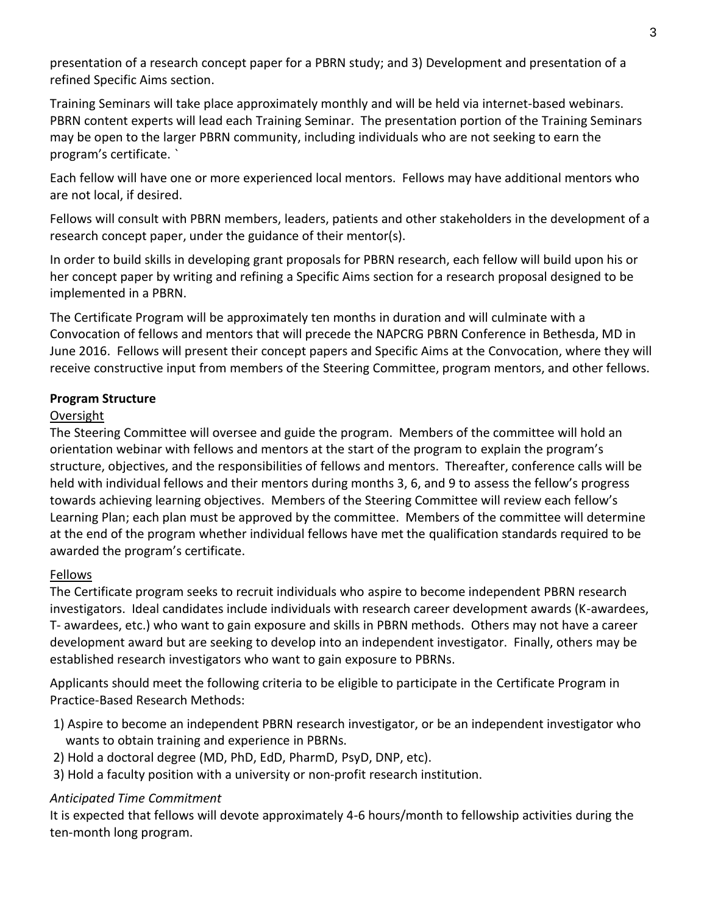presentation of a research concept paper for a PBRN study; and 3) Development and presentation of a refined Specific Aims section.

Training Seminars will take place approximately monthly and will be held via internet-based webinars. PBRN content experts will lead each Training Seminar. The presentation portion of the Training Seminars may be open to the larger PBRN community, including individuals who are not seeking to earn the program's certificate. `

Each fellow will have one or more experienced local mentors. Fellows may have additional mentors who are not local, if desired.

Fellows will consult with PBRN members, leaders, patients and other stakeholders in the development of a research concept paper, under the guidance of their mentor(s).

In order to build skills in developing grant proposals for PBRN research, each fellow will build upon his or her concept paper by writing and refining a Specific Aims section for a research proposal designed to be implemented in a PBRN.

The Certificate Program will be approximately ten months in duration and will culminate with a Convocation of fellows and mentors that will precede the NAPCRG PBRN Conference in Bethesda, MD in June 2016. Fellows will present their concept papers and Specific Aims at the Convocation, where they will receive constructive input from members of the Steering Committee, program mentors, and other fellows.

## **Program Structure**

## Oversight

The Steering Committee will oversee and guide the program. Members of the committee will hold an orientation webinar with fellows and mentors at the start of the program to explain the program's structure, objectives, and the responsibilities of fellows and mentors. Thereafter, conference calls will be held with individual fellows and their mentors during months 3, 6, and 9 to assess the fellow's progress towards achieving learning objectives. Members of the Steering Committee will review each fellow's Learning Plan; each plan must be approved by the committee. Members of the committee will determine at the end of the program whether individual fellows have met the qualification standards required to be awarded the program's certificate.

## Fellows

The Certificate program seeks to recruit individuals who aspire to become independent PBRN research investigators. Ideal candidates include individuals with research career development awards (K-awardees, T- awardees, etc.) who want to gain exposure and skills in PBRN methods. Others may not have a career development award but are seeking to develop into an independent investigator. Finally, others may be established research investigators who want to gain exposure to PBRNs.

Applicants should meet the following criteria to be eligible to participate in the Certificate Program in Practice-Based Research Methods:

- 1) Aspire to become an independent PBRN research investigator, or be an independent investigator who wants to obtain training and experience in PBRNs.
- 2) Hold a doctoral degree (MD, PhD, EdD, PharmD, PsyD, DNP, etc).
- 3) Hold a faculty position with a university or non-profit research institution.

## *Anticipated Time Commitment*

It is expected that fellows will devote approximately 4-6 hours/month to fellowship activities during the ten-month long program.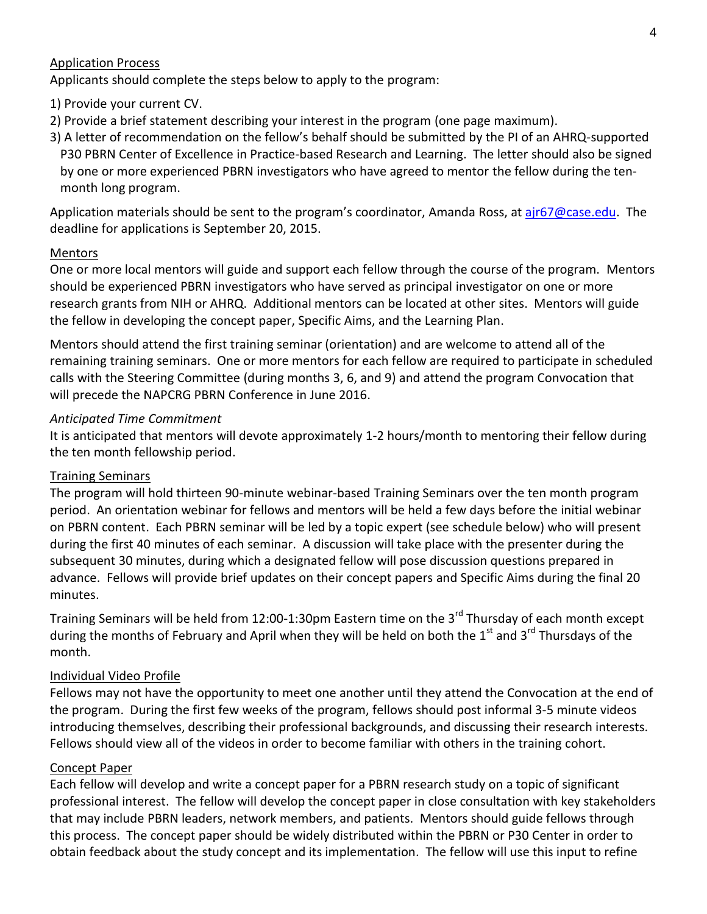#### Application Process

Applicants should complete the steps below to apply to the program:

- 1) Provide your current CV.
- 2) Provide a brief statement describing your interest in the program (one page maximum).
- 3) A letter of recommendation on the fellow's behalf should be submitted by the PI of an AHRQ-supported P30 PBRN Center of Excellence in Practice-based Research and Learning. The letter should also be signed by one or more experienced PBRN investigators who have agreed to mentor the fellow during the tenmonth long program.

Application materials should be sent to the program's coordinator, Amanda Ross, at [ajr67@case.edu.](mailto:ajr67@case.edu) The deadline for applications is September 20, 2015.

#### **Mentors**

One or more local mentors will guide and support each fellow through the course of the program. Mentors should be experienced PBRN investigators who have served as principal investigator on one or more research grants from NIH or AHRQ. Additional mentors can be located at other sites. Mentors will guide the fellow in developing the concept paper, Specific Aims, and the Learning Plan.

Mentors should attend the first training seminar (orientation) and are welcome to attend all of the remaining training seminars. One or more mentors for each fellow are required to participate in scheduled calls with the Steering Committee (during months 3, 6, and 9) and attend the program Convocation that will precede the NAPCRG PBRN Conference in June 2016.

#### *Anticipated Time Commitment*

It is anticipated that mentors will devote approximately 1-2 hours/month to mentoring their fellow during the ten month fellowship period.

## Training Seminars

The program will hold thirteen 90-minute webinar-based Training Seminars over the ten month program period. An orientation webinar for fellows and mentors will be held a few days before the initial webinar on PBRN content. Each PBRN seminar will be led by a topic expert (see schedule below) who will present during the first 40 minutes of each seminar. A discussion will take place with the presenter during the subsequent 30 minutes, during which a designated fellow will pose discussion questions prepared in advance. Fellows will provide brief updates on their concept papers and Specific Aims during the final 20 minutes.

Training Seminars will be held from 12:00-1:30pm Eastern time on the 3<sup>rd</sup> Thursday of each month except during the months of February and April when they will be held on both the 1<sup>st</sup> and 3<sup>rd</sup> Thursdays of the month.

## Individual Video Profile

Fellows may not have the opportunity to meet one another until they attend the Convocation at the end of the program. During the first few weeks of the program, fellows should post informal 3-5 minute videos introducing themselves, describing their professional backgrounds, and discussing their research interests. Fellows should view all of the videos in order to become familiar with others in the training cohort.

#### Concept Paper

Each fellow will develop and write a concept paper for a PBRN research study on a topic of significant professional interest. The fellow will develop the concept paper in close consultation with key stakeholders that may include PBRN leaders, network members, and patients. Mentors should guide fellows through this process. The concept paper should be widely distributed within the PBRN or P30 Center in order to obtain feedback about the study concept and its implementation. The fellow will use this input to refine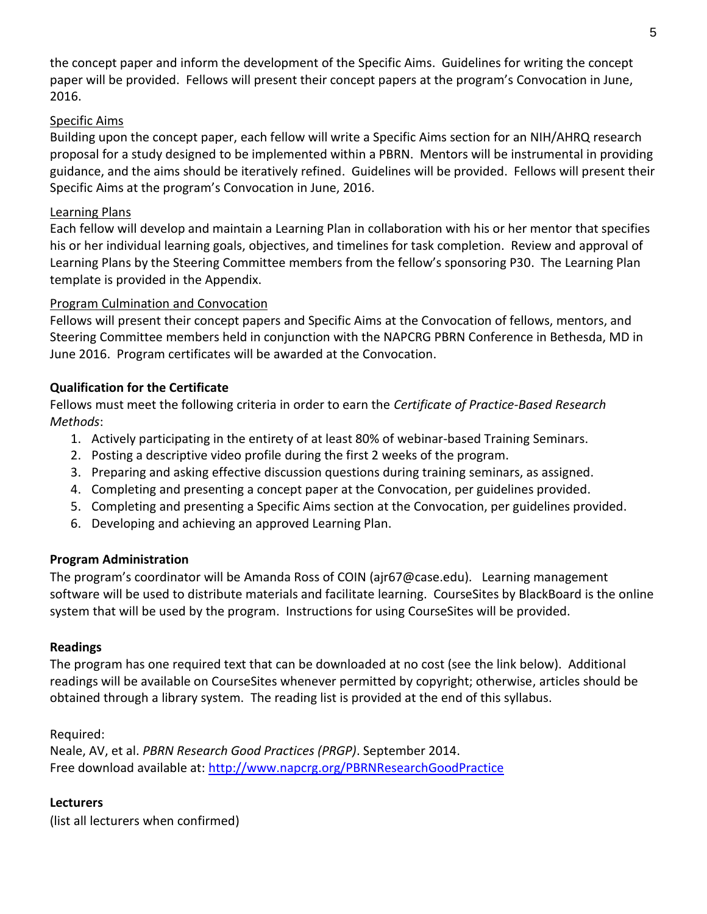the concept paper and inform the development of the Specific Aims. Guidelines for writing the concept paper will be provided. Fellows will present their concept papers at the program's Convocation in June, 2016.

#### Specific Aims

Building upon the concept paper, each fellow will write a Specific Aims section for an NIH/AHRQ research proposal for a study designed to be implemented within a PBRN. Mentors will be instrumental in providing guidance, and the aims should be iteratively refined. Guidelines will be provided. Fellows will present their Specific Aims at the program's Convocation in June, 2016.

#### Learning Plans

Each fellow will develop and maintain a Learning Plan in collaboration with his or her mentor that specifies his or her individual learning goals, objectives, and timelines for task completion. Review and approval of Learning Plans by the Steering Committee members from the fellow's sponsoring P30. The Learning Plan template is provided in the Appendix.

#### Program Culmination and Convocation

Fellows will present their concept papers and Specific Aims at the Convocation of fellows, mentors, and Steering Committee members held in conjunction with the NAPCRG PBRN Conference in Bethesda, MD in June 2016. Program certificates will be awarded at the Convocation.

## **Qualification for the Certificate**

Fellows must meet the following criteria in order to earn the *Certificate of Practice-Based Research Methods*:

- 1. Actively participating in the entirety of at least 80% of webinar-based Training Seminars.
- 2. Posting a descriptive video profile during the first 2 weeks of the program.
- 3. Preparing and asking effective discussion questions during training seminars, as assigned.
- 4. Completing and presenting a concept paper at the Convocation, per guidelines provided.
- 5. Completing and presenting a Specific Aims section at the Convocation, per guidelines provided.
- 6. Developing and achieving an approved Learning Plan.

## **Program Administration**

The program's coordinator will be Amanda Ross of COIN (ajr67@case.edu). Learning management software will be used to distribute materials and facilitate learning. CourseSites by BlackBoard is the online system that will be used by the program. Instructions for using CourseSites will be provided.

## **Readings**

The program has one required text that can be downloaded at no cost (see the link below). Additional readings will be available on CourseSites whenever permitted by copyright; otherwise, articles should be obtained through a library system. The reading list is provided at the end of this syllabus.

Required:

Neale, AV, et al. *PBRN Research Good Practices (PRGP)*. September 2014. Free download available at:<http://www.napcrg.org/PBRNResearchGoodPractice>

## **Lecturers**

(list all lecturers when confirmed)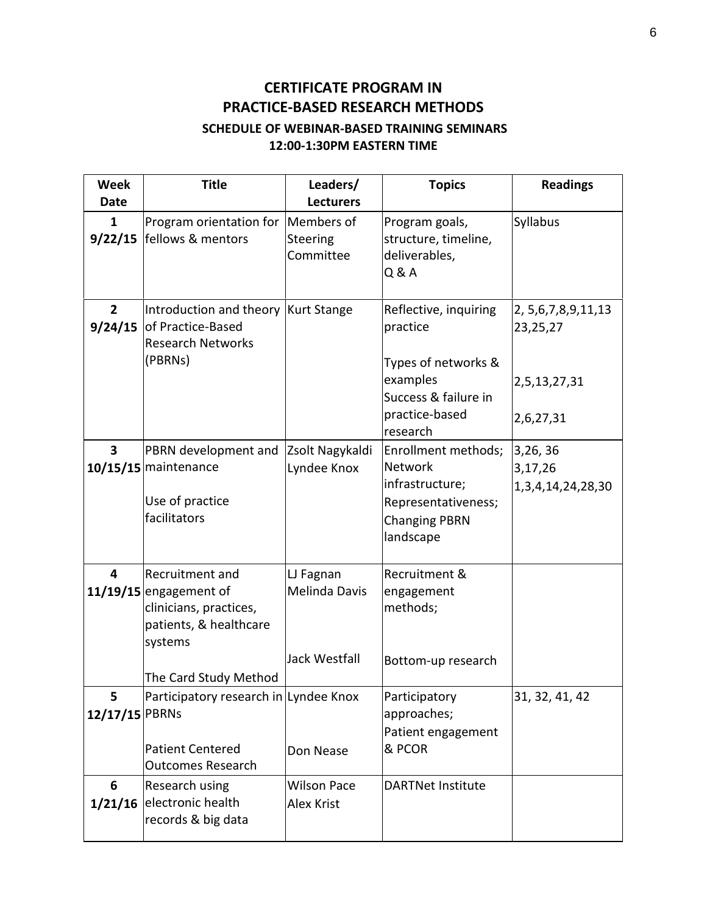# **CERTIFICATE PROGRAM IN PRACTICE-BASED RESEARCH METHODS**

# **SCHEDULE OF WEBINAR-BASED TRAINING SEMINARS 12:00-1:30PM EASTERN TIME**

| <b>Week</b>             | <b>Title</b>                                                                                                                        | Leaders/                                                  | <b>Topics</b>                                                                                                        | <b>Readings</b>                                                   |
|-------------------------|-------------------------------------------------------------------------------------------------------------------------------------|-----------------------------------------------------------|----------------------------------------------------------------------------------------------------------------------|-------------------------------------------------------------------|
| Date                    |                                                                                                                                     | <b>Lecturers</b>                                          |                                                                                                                      |                                                                   |
| $\mathbf{1}$<br>9/22/15 | Program orientation for Members of<br>fellows & mentors                                                                             | Steering<br>Committee                                     | Program goals,<br>structure, timeline,<br>deliverables,<br>Q & A                                                     | Syllabus                                                          |
| 2<br>9/24/15            | Introduction and theory Kurt Stange<br>of Practice-Based<br><b>Research Networks</b><br>(PBRNs)                                     |                                                           | Reflective, inquiring<br>practice<br>Types of networks &<br>examples<br>Success & failure in<br>practice-based       | 2, 5, 6, 7, 8, 9, 11, 13<br>23,25,27<br>2,5,13,27,31<br>2,6,27,31 |
|                         |                                                                                                                                     |                                                           | research                                                                                                             |                                                                   |
| $\overline{\mathbf{3}}$ | PBRN development and<br>10/15/15 maintenance<br>Use of practice<br>facilitators                                                     | Zsolt Nagykaldi<br>Lyndee Knox                            | Enrollment methods;<br><b>Network</b><br>infrastructure;<br>Representativeness;<br><b>Changing PBRN</b><br>landscape | 3,26,36<br>3,17,26<br>1, 3, 4, 14, 24, 28, 30                     |
| 4                       | Recruitment and<br>$11/19/15$ engagement of<br>clinicians, practices,<br>patients, & healthcare<br>systems<br>The Card Study Method | LJ Fagnan<br><b>Melinda Davis</b><br><b>Jack Westfall</b> | Recruitment &<br>engagement<br>methods;<br>Bottom-up research                                                        |                                                                   |
| 5<br>12/17/15 PBRNs     | Participatory research in Lyndee Knox<br><b>Patient Centered</b><br><b>Outcomes Research</b>                                        | Don Nease                                                 | Participatory<br>approaches;<br>Patient engagement<br>& PCOR                                                         | 31, 32, 41, 42                                                    |
| 6                       | Research using<br>1/21/16 electronic health<br>records & big data                                                                   | <b>Wilson Pace</b><br><b>Alex Krist</b>                   | <b>DARTNet Institute</b>                                                                                             |                                                                   |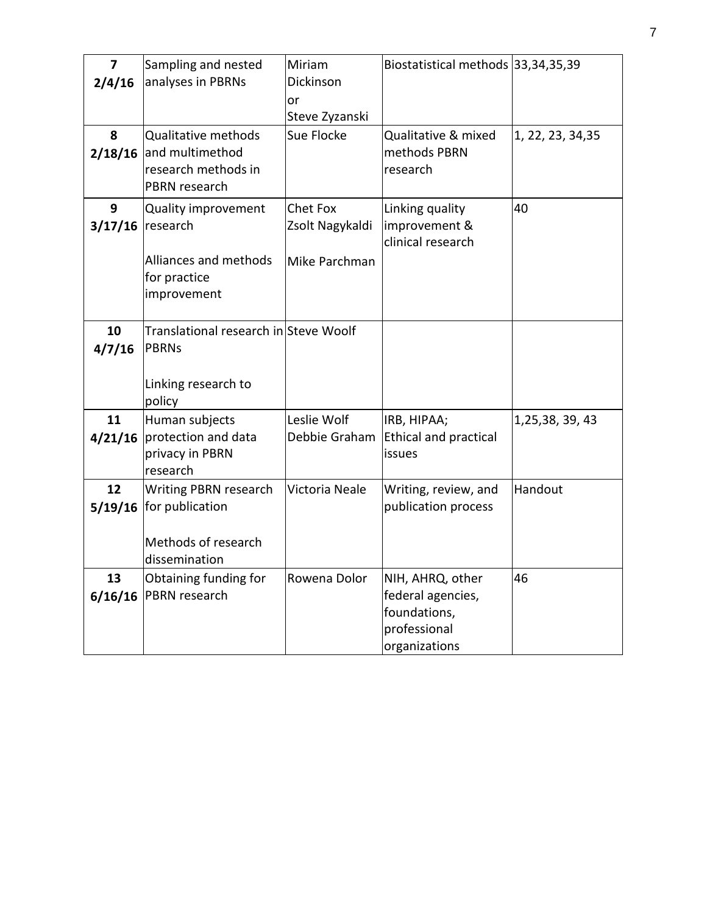| 7<br>2/4/16   | Sampling and nested<br>analyses in PBRNs                                                | Miriam<br>Dickinson<br>or<br>Steve Zyzanski         | Biostatistical methods 33, 34, 35, 39                                                  |                   |
|---------------|-----------------------------------------------------------------------------------------|-----------------------------------------------------|----------------------------------------------------------------------------------------|-------------------|
| 8<br>2/18/16  | <b>Qualitative methods</b><br>and multimethod<br>research methods in<br>PBRN research   | Sue Flocke                                          | Qualitative & mixed<br>methods PBRN<br>research                                        | 1, 22, 23, 34, 35 |
| 9<br>3/17/16  | Quality improvement<br>research<br>Alliances and methods<br>for practice<br>improvement | <b>Chet Fox</b><br>Zsolt Nagykaldi<br>Mike Parchman | Linking quality<br>improvement &<br>clinical research                                  | 40                |
| 10<br>4/7/16  | Translational research in Steve Woolf<br>PBRNs<br>Linking research to<br>policy         |                                                     |                                                                                        |                   |
| 11<br>4/21/16 | Human subjects<br>protection and data<br>privacy in PBRN<br>research                    | Leslie Wolf<br>Debbie Graham                        | IRB, HIPAA;<br><b>Ethical and practical</b><br>issues                                  | 1,25,38, 39, 43   |
| 12<br>5/19/16 | Writing PBRN research<br>for publication<br>Methods of research<br>dissemination        | Victoria Neale                                      | Writing, review, and<br>publication process                                            | Handout           |
| 13<br>6/16/16 | Obtaining funding for<br>PBRN research                                                  | Rowena Dolor                                        | NIH, AHRQ, other<br>federal agencies,<br>foundations,<br>professional<br>organizations | 46                |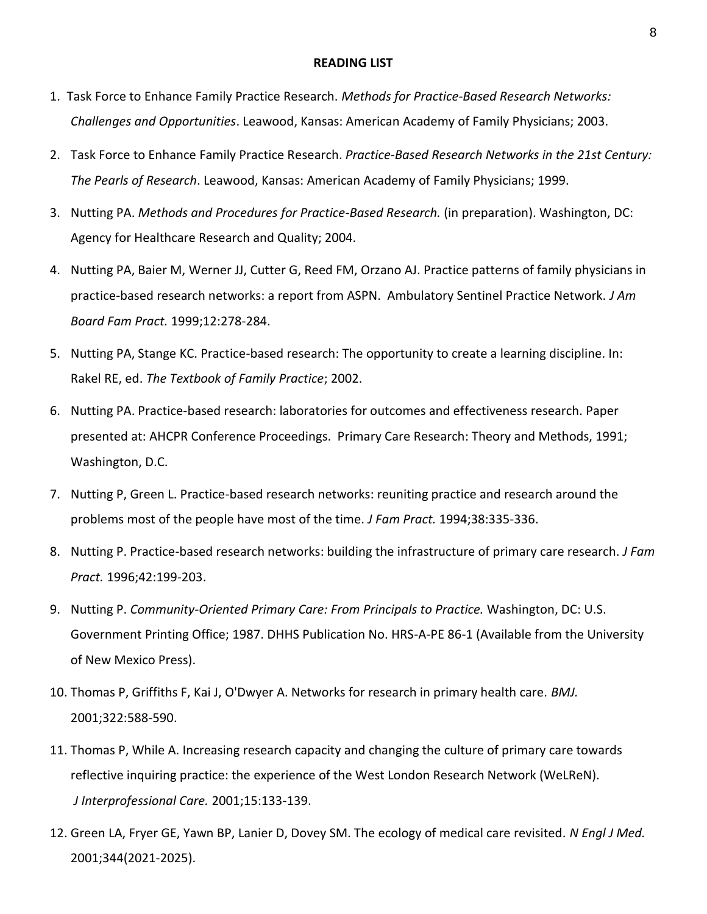#### **READING LIST**

- 1. Task Force to Enhance Family Practice Research. *Methods for Practice-Based Research Networks: Challenges and Opportunities*. Leawood, Kansas: American Academy of Family Physicians; 2003.
- 2. Task Force to Enhance Family Practice Research. *Practice-Based Research Networks in the 21st Century: The Pearls of Research*. Leawood, Kansas: American Academy of Family Physicians; 1999.
- 3. Nutting PA. *Methods and Procedures for Practice-Based Research.* (in preparation). Washington, DC: Agency for Healthcare Research and Quality; 2004.
- 4. Nutting PA, Baier M, Werner JJ, Cutter G, Reed FM, Orzano AJ. Practice patterns of family physicians in practice-based research networks: a report from ASPN. Ambulatory Sentinel Practice Network. *J Am Board Fam Pract.* 1999;12:278-284.
- 5. Nutting PA, Stange KC. Practice-based research: The opportunity to create a learning discipline. In: Rakel RE, ed. *The Textbook of Family Practice*; 2002.
- 6. Nutting PA. Practice-based research: laboratories for outcomes and effectiveness research. Paper presented at: AHCPR Conference Proceedings. Primary Care Research: Theory and Methods, 1991; Washington, D.C.
- 7. Nutting P, Green L. Practice-based research networks: reuniting practice and research around the problems most of the people have most of the time. *J Fam Pract.* 1994;38:335-336.
- 8. Nutting P. Practice-based research networks: building the infrastructure of primary care research. *J Fam Pract.* 1996;42:199-203.
- 9. Nutting P. *Community-Oriented Primary Care: From Principals to Practice.* Washington, DC: U.S. Government Printing Office; 1987. DHHS Publication No. HRS-A-PE 86-1 (Available from the University of New Mexico Press).
- 10. Thomas P, Griffiths F, Kai J, O'Dwyer A. Networks for research in primary health care. *BMJ.*  2001;322:588-590.
- 11. Thomas P, While A. Increasing research capacity and changing the culture of primary care towards reflective inquiring practice: the experience of the West London Research Network (WeLReN). *J Interprofessional Care.* 2001;15:133-139.
- 12. Green LA, Fryer GE, Yawn BP, Lanier D, Dovey SM. The ecology of medical care revisited. *N Engl J Med.*  2001;344(2021-2025).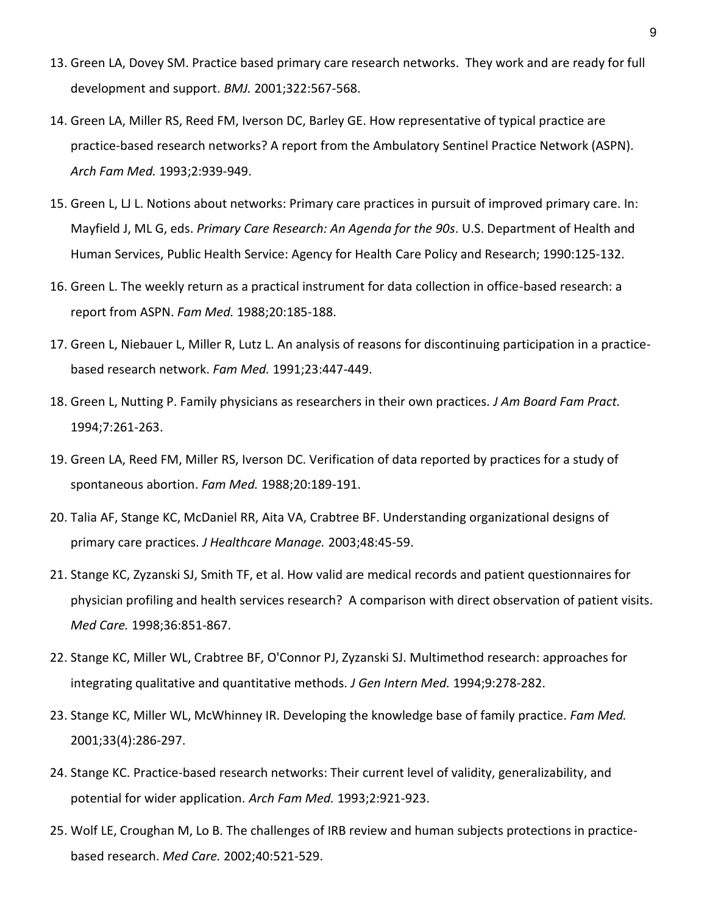- 13. Green LA, Dovey SM. Practice based primary care research networks. They work and are ready for full development and support. *BMJ.* 2001;322:567-568.
- 14. Green LA, Miller RS, Reed FM, Iverson DC, Barley GE. How representative of typical practice are practice-based research networks? A report from the Ambulatory Sentinel Practice Network (ASPN). *Arch Fam Med.* 1993;2:939-949.
- 15. Green L, LJ L. Notions about networks: Primary care practices in pursuit of improved primary care. In: Mayfield J, ML G, eds. *Primary Care Research: An Agenda for the 90s*. U.S. Department of Health and Human Services, Public Health Service: Agency for Health Care Policy and Research; 1990:125-132.
- 16. Green L. The weekly return as a practical instrument for data collection in office-based research: a report from ASPN. *Fam Med.* 1988;20:185-188.
- 17. Green L, Niebauer L, Miller R, Lutz L. An analysis of reasons for discontinuing participation in a practicebased research network. *Fam Med.* 1991;23:447-449.
- 18. Green L, Nutting P. Family physicians as researchers in their own practices. *J Am Board Fam Pract.*  1994;7:261-263.
- 19. Green LA, Reed FM, Miller RS, Iverson DC. Verification of data reported by practices for a study of spontaneous abortion. *Fam Med.* 1988;20:189-191.
- 20. Talia AF, Stange KC, McDaniel RR, Aita VA, Crabtree BF. Understanding organizational designs of primary care practices. *J Healthcare Manage.* 2003;48:45-59.
- 21. Stange KC, Zyzanski SJ, Smith TF, et al. How valid are medical records and patient questionnaires for physician profiling and health services research? A comparison with direct observation of patient visits. *Med Care.* 1998;36:851-867.
- 22. Stange KC, Miller WL, Crabtree BF, O'Connor PJ, Zyzanski SJ. Multimethod research: approaches for integrating qualitative and quantitative methods. *J Gen Intern Med.* 1994;9:278-282.
- 23. Stange KC, Miller WL, McWhinney IR. Developing the knowledge base of family practice. *Fam Med.*  2001;33(4):286-297.
- 24. Stange KC. Practice-based research networks: Their current level of validity, generalizability, and potential for wider application. *Arch Fam Med.* 1993;2:921-923.
- 25. Wolf LE, Croughan M, Lo B. The challenges of IRB review and human subjects protections in practicebased research. *Med Care.* 2002;40:521-529.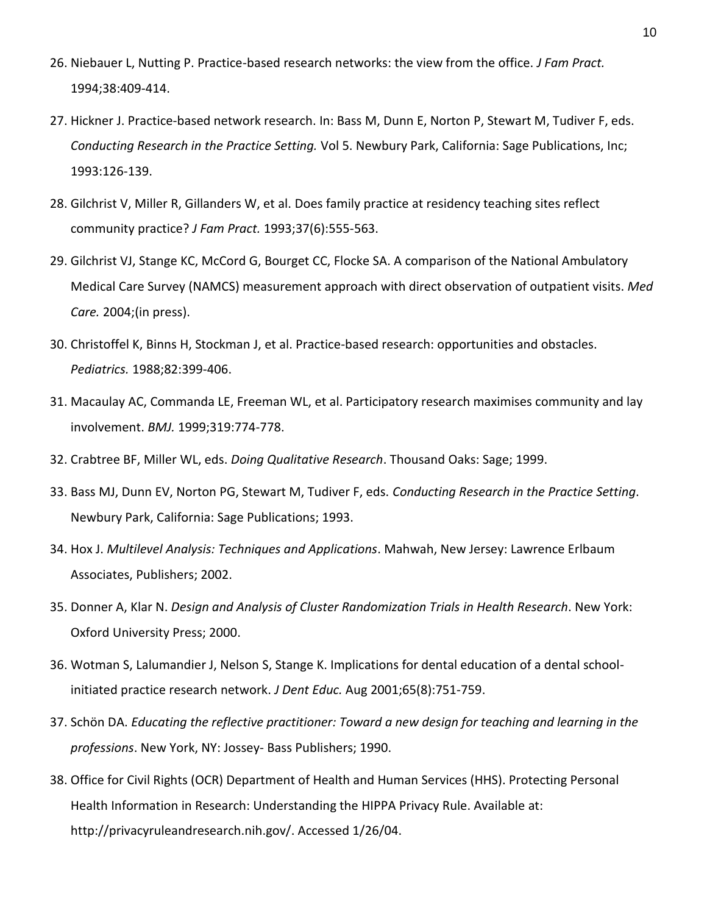- 26. Niebauer L, Nutting P. Practice-based research networks: the view from the office. *J Fam Pract.*  1994;38:409-414.
- 27. Hickner J. Practice-based network research. In: Bass M, Dunn E, Norton P, Stewart M, Tudiver F, eds. *Conducting Research in the Practice Setting.* Vol 5. Newbury Park, California: Sage Publications, Inc; 1993:126-139.
- 28. Gilchrist V, Miller R, Gillanders W, et al. Does family practice at residency teaching sites reflect community practice? *J Fam Pract.* 1993;37(6):555-563.
- 29. Gilchrist VJ, Stange KC, McCord G, Bourget CC, Flocke SA. A comparison of the National Ambulatory Medical Care Survey (NAMCS) measurement approach with direct observation of outpatient visits. *Med Care.* 2004;(in press).
- 30. Christoffel K, Binns H, Stockman J, et al. Practice-based research: opportunities and obstacles. *Pediatrics.* 1988;82:399-406.
- 31. Macaulay AC, Commanda LE, Freeman WL, et al. Participatory research maximises community and lay involvement. *BMJ.* 1999;319:774-778.
- 32. Crabtree BF, Miller WL, eds. *Doing Qualitative Research*. Thousand Oaks: Sage; 1999.
- 33. Bass MJ, Dunn EV, Norton PG, Stewart M, Tudiver F, eds. *Conducting Research in the Practice Setting*. Newbury Park, California: Sage Publications; 1993.
- 34. Hox J. *Multilevel Analysis: Techniques and Applications*. Mahwah, New Jersey: Lawrence Erlbaum Associates, Publishers; 2002.
- 35. Donner A, Klar N. *Design and Analysis of Cluster Randomization Trials in Health Research*. New York: Oxford University Press; 2000.
- 36. Wotman S, Lalumandier J, Nelson S, Stange K. Implications for dental education of a dental schoolinitiated practice research network. *J Dent Educ.* Aug 2001;65(8):751-759.
- 37. Schön DA. *Educating the reflective practitioner: Toward a new design for teaching and learning in the professions*. New York, NY: Jossey- Bass Publishers; 1990.
- 38. Office for Civil Rights (OCR) Department of Health and Human Services (HHS). Protecting Personal Health Information in Research: Understanding the HIPPA Privacy Rule. Available at: http://privacyruleandresearch.nih.gov/. Accessed 1/26/04.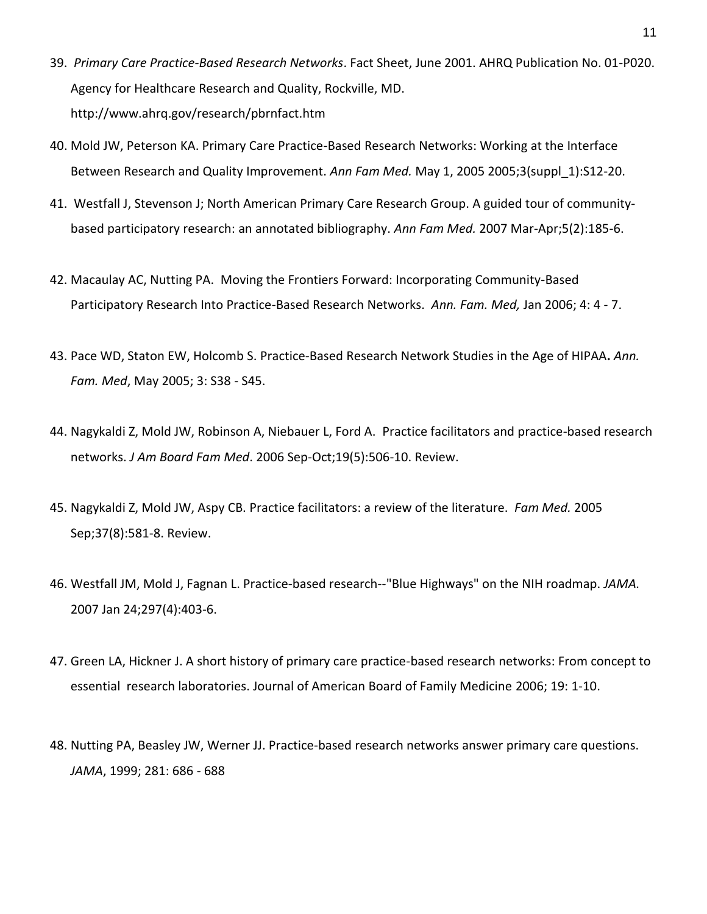- 39. *Primary Care Practice-Based Research Networks*. Fact Sheet, June 2001. AHRQ Publication No. 01-P020. Agency for Healthcare Research and Quality, Rockville, MD. http://www.ahrq.gov/research/pbrnfact.htm
- 40. Mold JW, Peterson KA. Primary Care Practice-Based Research Networks: Working at the Interface Between Research and Quality Improvement. *Ann Fam Med.* May 1, 2005 2005;3(suppl\_1):S12-20.
- 41. [Westfall J,](http://www.ncbi.nlm.nih.gov/sites/entrez?Db=pubmed&Cmd=Search&Term=%22Westfall%20J%22%5BAuthor%5D&itool=EntrezSystem2.PEntrez.Pubmed.Pubmed_ResultsPanel.Pubmed_RVAbstractPlusDrugs1) [Stevenson J;](http://www.ncbi.nlm.nih.gov/sites/entrez?Db=pubmed&Cmd=Search&Term=%22Stevenson%20J%22%5BAuthor%5D&itool=EntrezSystem2.PEntrez.Pubmed.Pubmed_ResultsPanel.Pubmed_RVAbstractPlusDrugs1) [North American Primary Care Research Group.](http://www.ncbi.nlm.nih.gov/sites/entrez?Db=pubmed&Cmd=Search&Term=%22North%20American%20Primary%20Care%20Research%20Group%22%5BCorporate%20Author%5D&itool=EntrezSystem2.PEntrez.Pubmed.Pubmed_ResultsPanel.Pubmed_RVAbstractPlusDrugs1) A guided tour of communitybased participatory research: an annotated bibliography. *[Ann Fam Med.](javascript:AL_get(this,%20)* 2007 Mar-Apr;5(2):185-6.
- 42. Macaulay AC, Nutting PA. Moving the Frontiers Forward: Incorporating Community-Based Participatory Research Into Practice-Based Research Networks. *Ann. Fam. Med,* Jan 2006; 4: 4 - 7.
- 43. Pace WD, Staton EW, Holcomb S. Practice-Based Research Network Studies in the Age of HIPAA**.** *Ann. Fam. Med*, May 2005; 3: S38 - S45.
- 44. [Nagykaldi Z, Mold JW, Robinson A, Niebauer L, Ford A.](http://www.ncbi.nlm.nih.gov/pubmed/16951300?ordinalpos=10&itool=EntrezSystem2.PEntrez.Pubmed.Pubmed_ResultsPanel.Pubmed_RVDocSum) Practice facilitators and practice-based research networks. *J Am Board Fam Med*. 2006 Sep-Oct;19(5):506-10. Review.
- 45. [Nagykaldi Z, Mold JW, Aspy CB.](http://www.ncbi.nlm.nih.gov/pubmed/16145629?ordinalpos=17&itool=EntrezSystem2.PEntrez.Pubmed.Pubmed_ResultsPanel.Pubmed_RVDocSum) Practice facilitators: a review of the literature. *Fam Med.* 2005 Sep;37(8):581-8. Review.
- 46. [Westfall JM,](http://www.ncbi.nlm.nih.gov/sites/entrez?Db=pubmed&Cmd=Search&Term=%22Westfall%20JM%22%5BAuthor%5D&itool=EntrezSystem2.PEntrez.Pubmed.Pubmed_ResultsPanel.Pubmed_RVAbstractPlusDrugs1) [Mold J,](http://www.ncbi.nlm.nih.gov/sites/entrez?Db=pubmed&Cmd=Search&Term=%22Mold%20J%22%5BAuthor%5D&itool=EntrezSystem2.PEntrez.Pubmed.Pubmed_ResultsPanel.Pubmed_RVAbstractPlusDrugs1) [Fagnan L.](http://www.ncbi.nlm.nih.gov/sites/entrez?Db=pubmed&Cmd=Search&Term=%22Fagnan%20L%22%5BAuthor%5D&itool=EntrezSystem2.PEntrez.Pubmed.Pubmed_ResultsPanel.Pubmed_RVAbstractPlusDrugs1) Practice-based research--"Blue Highways" on the NIH roadmap. *[JAMA.](javascript:AL_get(this,%20)* 2007 Jan 24;297(4):403-6.
- 47. Green LA, Hickner J. A short history of primary care practice-based research networks: From concept to essential research laboratories. Journal of American Board of Family Medicine 2006; 19: 1-10.
- 48. Nutting PA, Beasley JW, Werner JJ. Practice-based research networks answer primary care questions. *JAMA*, 1999; 281: 686 - 688